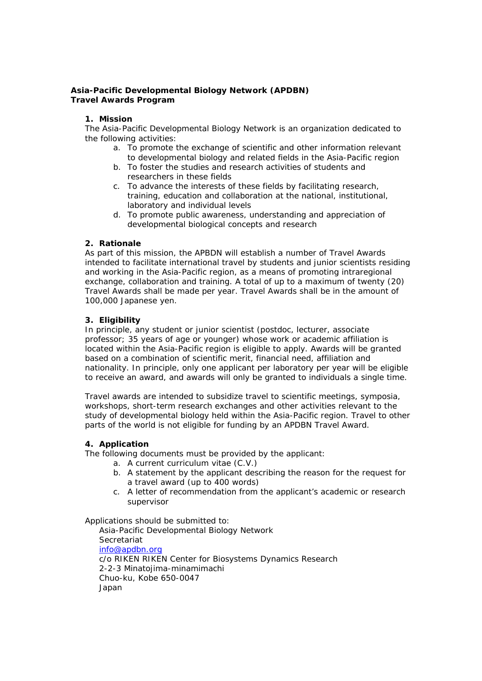## **Asia-Pacific Developmental Biology Network (APDBN) Travel Awards Program**

### **1. Mission**

The Asia-Pacific Developmental Biology Network is an organization dedicated to the following activities:

- a. To promote the exchange of scientific and other information relevant to developmental biology and related fields in the Asia-Pacific region
- b. To foster the studies and research activities of students and researchers in these fields
- c. To advance the interests of these fields by facilitating research, training, education and collaboration at the national, institutional, laboratory and individual levels
- d. To promote public awareness, understanding and appreciation of developmental biological concepts and research

# **2. Rationale**

As part of this mission, the APBDN will establish a number of Travel Awards intended to facilitate international travel by students and junior scientists residing and working in the Asia-Pacific region, as a means of promoting intraregional exchange, collaboration and training. A total of up to a maximum of twenty (20) Travel Awards shall be made per year. Travel Awards shall be in the amount of 100,000 Japanese yen.

# **3. Eligibility**

In principle, any student or junior scientist (postdoc, lecturer, associate professor; 35 years of age or younger) whose work or academic affiliation is located within the Asia-Pacific region is eligible to apply. Awards will be granted based on a combination of scientific merit, financial need, affiliation and nationality. In principle, only one applicant per laboratory per year will be eligible to receive an award, and awards will only be granted to individuals a single time.

Travel awards are intended to subsidize travel to scientific meetings, symposia, workshops, short-term research exchanges and other activities relevant to the study of developmental biology held within the Asia-Pacific region. Travel to other parts of the world is not eligible for funding by an APDBN Travel Award.

### **4. Application**

The following documents must be provided by the applicant:

- a. A current curriculum vitae (C.V.)
- b. A statement by the applicant describing the reason for the request for a travel award (up to 400 words)
- c. A letter of recommendation from the applicant's academic or research supervisor

Applications should be submitted to:

Asia-Pacific Developmental Biology Network Secretariat info@apdbn.org c/o RIKEN RIKEN Center for Biosystems Dynamics Research 2-2-3 Minatojima-minamimachi Chuo-ku, Kobe 650-0047 Japan